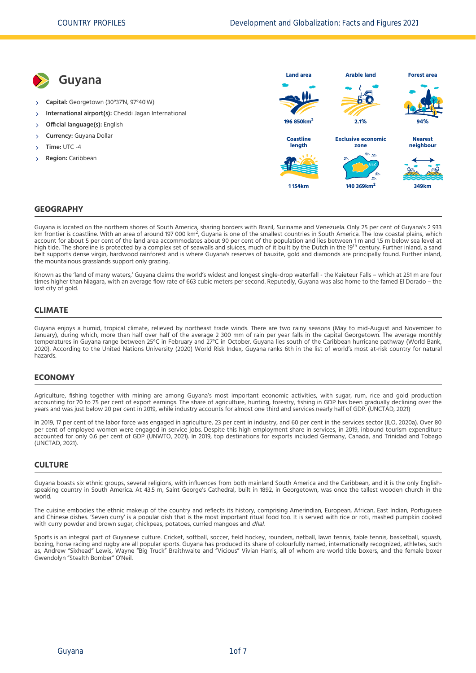

### **GEOGRAPHY**

Guyana is located on the northern shores of South America, sharing borders with Brazil, Suriname and Venezuela. Only 25 per cent of Guyana's 2 933<br>Am frontier is coastline. With an area of around 197 000 km<sup>2</sup>, Guyana is account for about 5 per cent of the land area accommodates about 90 per cent of the population and lies between 1 m and 1.5 m below sea level at he shoreline is protected by a complex set of seawalls and sluices, much of it built by the Dutch in the 19 century. Further inland, a sand<br>helt cupperts depending is protected by a complex set of seawalls and sluices, muc belt supports dense virgin, hardwood rainforest and is where Guyana's reserves of bauxite, gold and diamonds are principally found. Further inland, the mountainous grasslands support only grazing.

Known as the 'land of many waters,' Guyana claims the world's widest and longest single-drop waterfall - the Kaieteur Falls – which at 251 m are four times higher than Niagara, with an average flow rate of 663 cubic meters per second. Reputedly, Guyana was also home to the famed El Dorado – the lost city of gold.

### **CLIMATE**

Guyana enjoys a humid, tropical climate, relieved by northeast trade winds. There are two rainy seasons (May to mid-August and November to January), during which, more than half over half of the average 2 300 mm of rain per year falls in the capital Georgetown. The average monthly [temperatures in Guyana range between 25°C in February and 27°C in October. Guyana lies south of the Caribbean hurricane pathway \(World Bank,](#page-6-0) 2020). According to the United Nations University [\(2020\)](#page-6-1) World Risk Index, Guyana ranks 6th in the list of world's most at-risk country for natural hazards.

#### **ECONOMY**

Agriculture, fishing together with mining are among Guyana's most important economic activities, with sugar, rum, rice and gold production accounting for 70 to 75 per cent of export earnings. The share of agriculture, hunting, forestry, fishing in GDP has been gradually declining over the years and was just below 20 per cent in 2019, while industry accounts for almost one third and services nearly half of GDP. [\(UNCTAD, 2021\)](#page-6-2)

In 2019, 17 per cent of the labor force was engaged in agriculture, 23 per cent in industry, and 60 per cent in the services sector [\(ILO, 2020a\).](#page-6-3) Over 80 per cent of employed women were engaged in service jobs. Despite this high employment share in services, in 2019, inbound tourism expenditure accounted for only 0.6 per cent of GDP [\(UNWTO, 2021\).](#page-6-4) In 2019, top destinations for exports included Germany, Canada, and Trinidad and Tobago [\(UNCTAD, 2021\)](#page-6-2).

#### **CULTURE**

Guyana boasts six ethnic groups, several religions, with influences from both mainland South America and the Caribbean, and it is the only Englishspeaking country in South America. At 43.5 m, Saint George's Cathedral, built in 1892, in Georgetown, was once the tallest wooden church in the world.

The cuisine embodies the ethnic makeup of the country and reflects its history, comprising Amerindian, European, African, East Indian, Portuguese and Chinese dishes. 'Seven curry' is a popular dish that is the most important ritual food too. It is served with rice or roti, mashed pumpkin cooked with curry powder and brown sugar, chickpeas, potatoes, curried mangoes and dhal.

Sports is an integral part of Guyanese culture. Cricket, softball, soccer, field hockey, rounders, netball, lawn tennis, table tennis, basketball, squash, boxing, horse racing and rugby are all popular sports. Guyana has produced its share of colourfully named, internationally recognized, athletes, such as, Andrew "Sixhead" Lewis, Wayne "Big Truck" Braithwaite and "Vicious" Vivian Harris, all of whom are world title boxers, and the female boxer Gwendolyn "Stealth Bomber" O'Neil.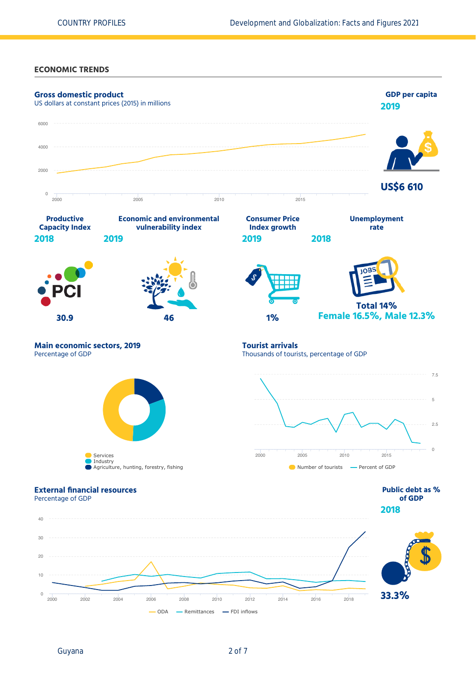## **ECONOMIC TRENDS**

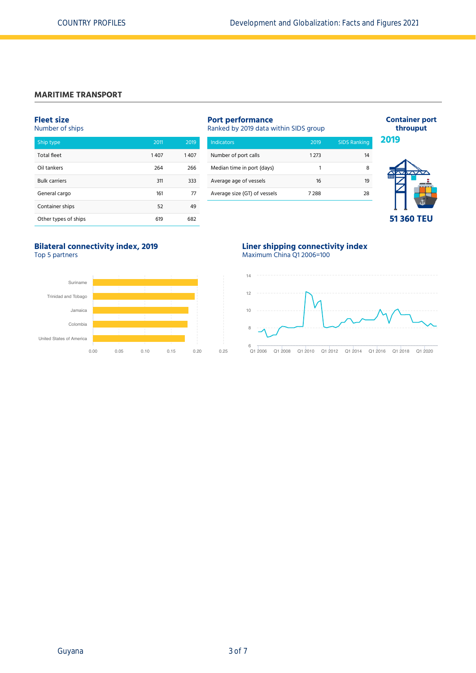# **MARITIME TRANSPORT**

# **Fleet size**

Number of ships

| Ship type            | 2011 | 2019 |
|----------------------|------|------|
| <b>Total fleet</b>   | 1407 | 1407 |
| Oil tankers          | 264  | 266  |
| <b>Bulk carriers</b> | 311  | 333  |
| General cargo        | 161  | 77   |
| Container ships      | 52   | 49   |
| Other types of ships | 619  | 682  |

| <b>Port performance</b><br>Ranked by 2019 data within SIDS group |         |                     |  |  |
|------------------------------------------------------------------|---------|---------------------|--|--|
| <b>Indicators</b>                                                | 2019    | <b>SIDS Ranking</b> |  |  |
| Number of port calls                                             | 1 2 7 3 | 14                  |  |  |
| Median time in port (days)                                       |         | 8                   |  |  |
| Average age of vessels                                           | 16      | 19                  |  |  |
| Average size (GT) of vessels                                     | 7288    | 28                  |  |  |



**Container port throuput**

### **Bilateral connectivity index, 2019** Top 5 partners



# **Liner shipping connectivity index** Maximum China Q1 2006=100

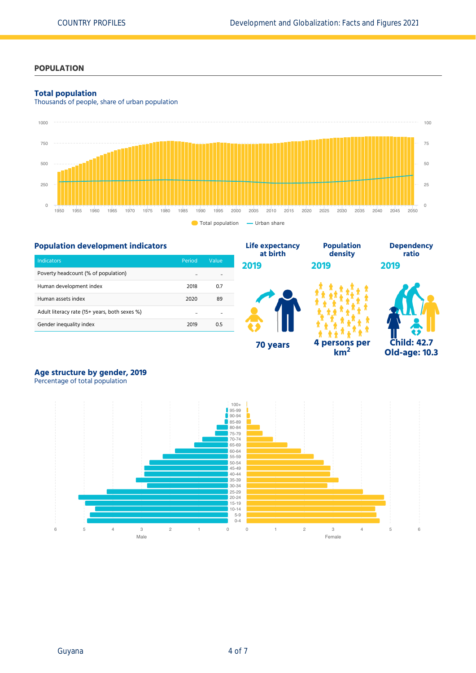# **POPULATION**

### **Total population**

Thousands of people, share of urban population



**Life expectancy**

# **Population development indicators**

| <b>Indicators</b>                             | Period | Value |
|-----------------------------------------------|--------|-------|
| Poverty headcount (% of population)           |        |       |
| Human development index                       | 2018   | 0.7   |
| Human assets index                            | 2020   | 89    |
| Adult literacy rate (15+ years, both sexes %) |        |       |
| Gender inequality index                       | 2019   | 0.5   |



**Population**

**km<sup>2</sup>**



**Dependency ratio**

# **Age structure by gender, 2019**

Percentage of total population

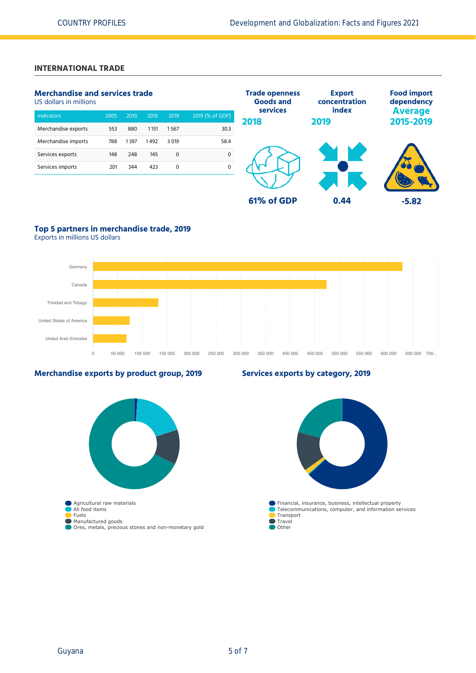# **INTERNATIONAL TRADE**

# **Merchandise and services trade**

US dollars in millions

| <b>Indicators</b>   | 2005 | 2010 | 2015 | 2019   | 2019 (% of GDP) |
|---------------------|------|------|------|--------|-----------------|
| Merchandise exports | 553  | 880  | 1151 | 1567   | 30.3            |
| Merchandise imports | 788  | 1397 | 1492 | 3 0 19 | 58.4            |
| Services exports    | 148  | 248  | 145  | 0      | 0               |
| Services imports    | 201  | 344  | 423  | 0      | 0               |
|                     |      |      |      |        |                 |



# **Top 5 partners in merchandise trade, 2019**

Exports in millions US dollars



# **Merchandise exports by product group, 2019**

# **Agricultural raw materials** Manufactured goods Ores, metals, precious stones and non-monetary gold Financial, insurance, business, intellectual property Telecommunications, computer, and information services Transport  $\blacksquare$  Travel **Other**

**Services exports by category, 2019**

All food items Fuels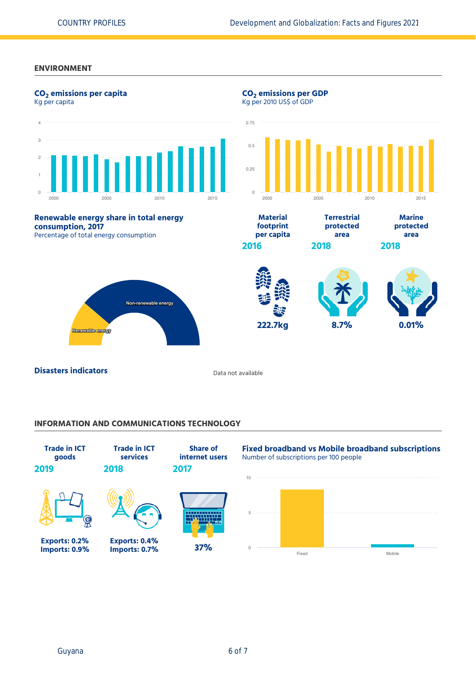### **ENVIRONMENT**



### **INFORMATION AND COMMUNICATIONS TECHNOLOGY**